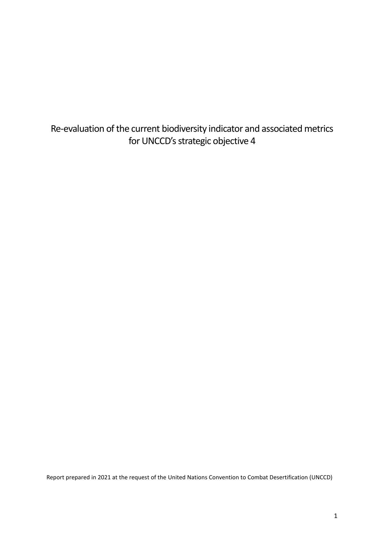Re-evaluation of the current biodiversity indicator and associated metrics for UNCCD's strategic objective 4

Report prepared in 2021 at the request of the United Nations Convention to Combat Desertification (UNCCD)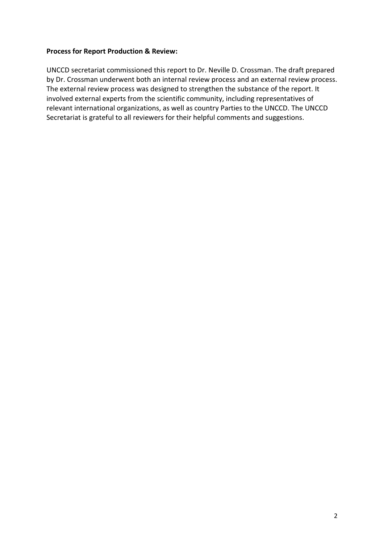#### <span id="page-1-0"></span>**Process for Report Production & Review:**

UNCCD secretariat commissioned this report to Dr. Neville D. Crossman. The draft prepared by Dr. Crossman underwent both an internal review process and an external review process. The external review process was designed to strengthen the substance of the report. It involved external experts from the scientific community, including representatives of relevant international organizations, as well as country Parties to the UNCCD. The UNCCD Secretariat is grateful to all reviewers for their helpful comments and suggestions.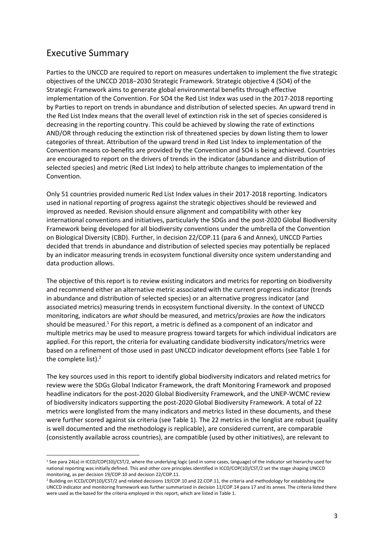### Executive Summary

Parties to the UNCCD are required to report on measures undertaken to implement the five strategic objectives of the UNCCD 2018−2030 Strategic Framework. Strategic objective 4 (SO4) of the Strategic Framework aims to generate global environmental benefits through effective implementation of the Convention. For SO4 the Red List Index was used in the 2017-2018 reporting by Parties to report on trends in abundance and distribution of selected species. An upward trend in the Red List Index means that the overall level of extinction risk in the set of species considered is decreasing in the reporting country. This could be achieved by slowing the rate of extinctions AND/OR through reducing the extinction risk of threatened species by down listing them to lower categories of threat. Attribution of the upward trend in Red List Index to implementation of the Convention means co-benefits are provided by the Convention and SO4 is being achieved. Countries are encouraged to report on the drivers of trends in the indicator (abundance and distribution of selected species) and metric (Red List Index) to help attribute changes to implementation of the Convention.

Only 51 countries provided numeric Red List Index values in their 2017-2018 reporting. Indicators used in national reporting of progress against the strategic objectives should be reviewed and improved as needed. Revision should ensure alignment and compatibility with other key international conventions and initiatives, particularly the SDGs and the post-2020 Global Biodiversity Framework being developed for all biodiversity conventions under the umbrella of the Convention on Biological Diversity (CBD). Further, in decision 22/COP.11 (para 6 and Annex), UNCCD Parties decided that trends in abundance and distribution of selected species may potentially be replaced by an indicator measuring trends in ecosystem functional diversity once system understanding and data production allows.

The objective of this report is to review existing indicators and metrics for reporting on biodiversity and recommend either an alternative metric associated with the current progress indicator (trends in abundance and distribution of selected species) or an alternative progress indicator (and associated metrics) measuring trends in ecosystem functional diversity. In the context of UNCCD monitoring, indicators are *what* should be measured, and metrics/proxies are *how* the indicators should be measured.<sup>1</sup> For this report, a metric is defined as a component of an indicator and multiple metrics may be used to measure progress toward targets for which individual indicators are applied. For this report, the criteria for evaluating candidate biodiversity indicators/metrics were based on a refinement of those used in past UNCCD indicator development efforts (see Table 1 for the complete list).<sup>2</sup>

The key sources used in this report to identify global biodiversity indicators and related metrics for review were the SDGs Global Indicator Framework, the draft Monitoring Framework and proposed headline indicators for the post-2020 Global Biodiversity Framework, and the UNEP-WCMC review of biodiversity indicators supporting the post-2020 Global Biodiversity Framework. A total of 22 metrics were longlisted from the many indicators and metrics listed in these documents, and these were further scored against six criteria (see Table 1). The 22 metrics in the longlist are robust (quality is well documented and the methodology is replicable), are considered current, are comparable (consistently available across countries), are compatible (used by other initiatives), are relevant to

<sup>&</sup>lt;sup>1</sup> See para 24(a) in ICCD/COP(10)/CST/2, where the underlying logic (and in some cases, language) of the indicator set hierarchy used for national reporting was initially defined. This and other core principles identified in ICCD/COP(10)/CST/2 set the stage shaping UNCCD monitoring, as per decision 19/COP.10 and decision 22/COP.11.

<sup>&</sup>lt;sup>2</sup> Building on ICCD/COP(10)/CST/2 and related decisions 19/COP.10 and 22.COP.11, the criteria and methodology for establishing the UNCCD indicator and monitoring framework was further summarized in decision 11/COP.14 para 17 and its annex. The criteria listed there were used as the based for the criteria employed in this report, which are listed in Table 1.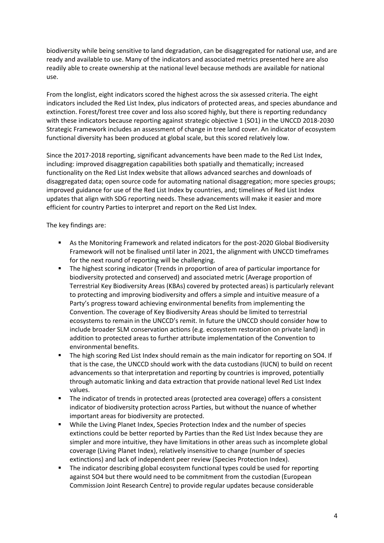biodiversity while being sensitive to land degradation, can be disaggregated for national use, and are ready and available to use. Many of the indicators and associated metrics presented here are also readily able to create ownership at the national level because methods are available for national use.

From the longlist, eight indicators scored the highest across the six assessed criteria. The eight indicators included the Red List Index, plus indicators of protected areas, and species abundance and extinction. Forest/forest tree cover and loss also scored highly, but there is reporting redundancy with these indicators because reporting against strategic objective 1 (SO1) in the UNCCD 2018-2030 Strategic Framework includes an assessment of change in tree land cover. An indicator of ecosystem functional diversity has been produced at global scale, but this scored relatively low.

Since the 2017-2018 reporting, significant advancements have been made to the Red List Index, including: improved disaggregation capabilities both spatially and thematically; increased functionality on the Red List Index website that allows advanced searches and downloads of disaggregated data; open source code for automating national disaggregation; more species groups; improved guidance for use of the Red List Index by countries, and; timelines of Red List Index updates that align with SDG reporting needs. These advancements will make it easier and more efficient for country Parties to interpret and report on the Red List Index.

The key findings are:

- As the Monitoring Framework and related indicators for the post-2020 Global Biodiversity Framework will not be finalised until later in 2021, the alignment with UNCCD timeframes for the next round of reporting will be challenging.
- The highest scoring indicator (Trends in proportion of area of particular importance for biodiversity protected and conserved) and associated metric (Average proportion of Terrestrial Key Biodiversity Areas (KBAs) covered by protected areas) is particularly relevant to protecting and improving biodiversity and offers a simple and intuitive measure of a Party's progress toward achieving environmental benefits from implementing the Convention. The coverage of Key Biodiversity Areas should be limited to terrestrial ecosystems to remain in the UNCCD's remit. In future the UNCCD should consider how to include broader SLM conservation actions (e.g. ecosystem restoration on private land) in addition to protected areas to further attribute implementation of the Convention to environmental benefits.
- The high scoring Red List Index should remain as the main indicator for reporting on SO4. If that is the case, the UNCCD should work with the data custodians (IUCN) to build on recent advancements so that interpretation and reporting by countries is improved, potentially through automatic linking and data extraction that provide national level Red List Index values.
- The indicator of trends in protected areas (protected area coverage) offers a consistent indicator of biodiversity protection across Parties, but without the nuance of whether important areas for biodiversity are protected.
- While the Living Planet Index, Species Protection Index and the number of species extinctions could be better reported by Parties than the Red List Index because they are simpler and more intuitive, they have limitations in other areas such as incomplete global coverage (Living Planet Index), relatively insensitive to change (number of species extinctions) and lack of independent peer review (Species Protection Index).
- The indicator describing global ecosystem functional types could be used for reporting against SO4 but there would need to be commitment from the custodian (European Commission Joint Research Centre) to provide regular updates because considerable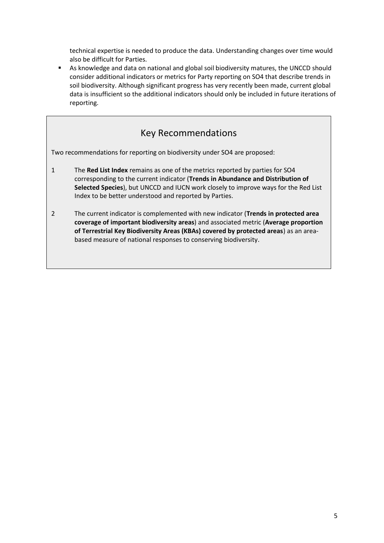technical expertise is needed to produce the data. Understanding changes over time would also be difficult for Parties.

■ As knowledge and data on national and global soil biodiversity matures, the UNCCD should consider additional indicators or metrics for Party reporting on SO4 that describe trends in soil biodiversity. Although significant progress has very recently been made, current global data is insufficient so the additional indicators should only be included in future iterations of reporting.

### Key Recommendations

Two recommendations for reporting on biodiversity under SO4 are proposed:

- 1 The **Red List Index** remains as one of the metrics reported by parties for SO4 corresponding to the current indicator (**Trends in Abundance and Distribution of Selected Species**), but UNCCD and IUCN work closely to improve ways for the Red List Index to be better understood and reported by Parties.
- 2 The current indicator is complemented with new indicator (**Trends in protected area coverage of important biodiversity areas**) and associated metric (**Average proportion of Terrestrial Key Biodiversity Areas (KBAs) covered by protected areas**) as an areabased measure of national responses to conserving biodiversity.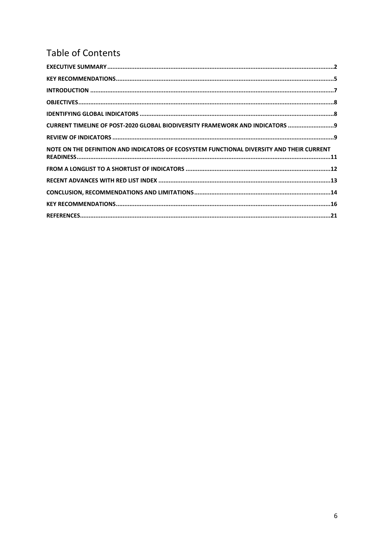# **Table of Contents**

| CURRENT TIMELINE OF POST-2020 GLOBAL BIODIVERSITY FRAMEWORK AND INDICATORS  9             |
|-------------------------------------------------------------------------------------------|
|                                                                                           |
| NOTE ON THE DEFINITION AND INDICATORS OF ECOSYSTEM FUNCTIONAL DIVERSITY AND THEIR CURRENT |
|                                                                                           |
|                                                                                           |
|                                                                                           |
|                                                                                           |
|                                                                                           |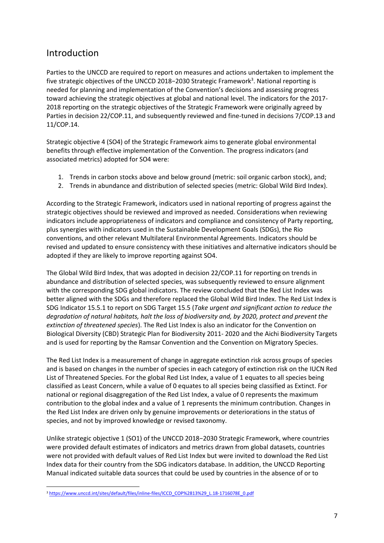#### <span id="page-6-0"></span>Introduction

Parties to the UNCCD are required to report on measures and actions undertaken to implement the five strategic objectives of the UNCCD 2018–2030 Strategic Framework<sup>3</sup>. National reporting is needed for planning and implementation of the Convention's decisions and assessing progress toward achieving the strategic objectives at global and national level. The indicators for the 2017- 2018 reporting on the strategic objectives of the Strategic Framework were originally agreed by Parties in decision 22/COP.11, and subsequently reviewed and fine-tuned in decisions 7/COP.13 and 11/COP.14.

Strategic objective 4 (SO4) of the Strategic Framework aims to generate global environmental benefits through effective implementation of the Convention. The progress indicators (and associated metrics) adopted for SO4 were:

- 1. Trends in carbon stocks above and below ground (metric: soil organic carbon stock), and;
- 2. Trends in abundance and distribution of selected species (metric: Global Wild Bird Index).

According to the Strategic Framework, indicators used in national reporting of progress against the strategic objectives should be reviewed and improved as needed. Considerations when reviewing indicators include appropriateness of indicators and compliance and consistency of Party reporting, plus synergies with indicators used in the Sustainable Development Goals (SDGs), the Rio conventions, and other relevant Multilateral Environmental Agreements. Indicators should be revised and updated to ensure consistency with these initiatives and alternative indicators should be adopted if they are likely to improve reporting against SO4.

The Global Wild Bird Index, that was adopted in decision 22/COP.11 for reporting on trends in abundance and distribution of selected species, was subsequently reviewed to ensure alignment with the corresponding SDG global indicators. The review concluded that the Red List Index was better aligned with the SDGs and therefore replaced the Global Wild Bird Index. The Red List Index is SDG Indicator 15.5.1 to report on SDG Target 15.5 (*Take urgent and significant action to reduce the degradation of natural habitats, halt the loss of biodiversity and, by 2020, protect and prevent the extinction of threatened species*). The Red List Index is also an indicator for the Convention on Biological Diversity (CBD) Strategic Plan for Biodiversity 2011- 2020 and the Aichi Biodiversity Targets and is used for reporting by the Ramsar Convention and the Convention on Migratory Species.

The Red List Index is a measurement of change in aggregate extinction risk across groups of species and is based on changes in the number of species in each category of extinction risk on the IUCN Red List of Threatened Species. For the global Red List Index, a value of 1 equates to all species being classified as Least Concern, while a value of 0 equates to all species being classified as Extinct. For national or regional disaggregation of the Red List Index, a value of 0 represents the maximum contribution to the global index and a value of 1 represents the minimum contribution. Changes in the Red List Index are driven only by genuine improvements or deteriorations in the status of species, and not by improved knowledge or revised taxonomy.

Unlike strategic objective 1 (SO1) of the UNCCD 2018−2030 Strategic Framework, where countries were provided default estimates of indicators and metrics drawn from global datasets, countries were not provided with default values of Red List Index but were invited to download the Red List Index data for their country from the SDG indicators database. In addition, the UNCCD Reporting Manual indicated suitable data sources that could be used by countries in the absence of or to

<sup>3</sup> [https://www.unccd.int/sites/default/files/inline-files/ICCD\\_COP%2813%29\\_L.18-1716078E\\_0.pdf](https://www.unccd.int/sites/default/files/inline-files/ICCD_COP%2813%29_L.18-1716078E_0.pdf)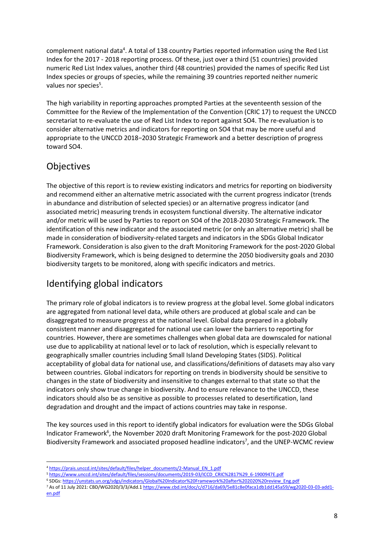complement national data<sup>4</sup>. A total of 138 country Parties reported information using the Red List Index for the 2017 - 2018 reporting process. Of these, just over a third (51 countries) provided numeric Red List Index values, another third (48 countries) provided the names of specific Red List Index species or groups of species, while the remaining 39 countries reported neither numeric values nor species<sup>5</sup>.

The high variability in reporting approaches prompted Parties at the seventeenth session of the Committee for the Review of the Implementation of the Convention (CRIC 17) to request the UNCCD secretariat to re-evaluate the use of Red List Index to report against SO4. The re-evaluation is to consider alternative metrics and indicators for reporting on SO4 that may be more useful and appropriate to the UNCCD 2018−2030 Strategic Framework and a better description of progress toward SO4.

### <span id="page-7-0"></span>Objectives

The objective of this report is to review existing indicators and metrics for reporting on biodiversity and recommend either an alternative metric associated with the current progress indicator (trends in abundance and distribution of selected species) or an alternative progress indicator (and associated metric) measuring trends in ecosystem functional diversity. The alternative indicator and/or metric will be used by Parties to report on SO4 of the 2018-2030 Strategic Framework. The identification of this new indicator and the associated metric (or only an alternative metric) shall be made in consideration of biodiversity-related targets and indicators in the SDGs Global Indicator Framework. Consideration is also given to the draft Monitoring Framework for the post-2020 Global Biodiversity Framework, which is being designed to determine the 2050 biodiversity goals and 2030 biodiversity targets to be monitored, along with specific indicators and metrics.

### <span id="page-7-1"></span>Identifying global indicators

The primary role of global indicators is to review progress at the global level. Some global indicators are aggregated from national level data, while others are produced at global scale and can be disaggregated to measure progress at the national level. Global data prepared in a globally consistent manner and disaggregated for national use can lower the barriers to reporting for countries. However, there are sometimes challenges when global data are downscaled for national use due to applicability at national level or to lack of resolution, which is especially relevant to geographically smaller countries including Small Island Developing States (SIDS). Political acceptability of global data for national use, and classifications/definitions of datasets may also vary between countries. Global indicators for reporting on trends in biodiversity should be sensitive to changes in the state of biodiversity and insensitive to changes external to that state so that the indicators only show true change in biodiversity. And to ensure relevance to the UNCCD, these indicators should also be as sensitive as possible to processes related to desertification, land degradation and drought and the impact of actions countries may take in response.

The key sources used in this report to identify global indicators for evaluation were the SDGs Global Indicator Framework<sup>6</sup>, the November 2020 draft Monitoring Framework for the post-2020 Global Biodiversity Framework and associated proposed headline indicators<sup>7</sup>, and the UNEP-WCMC review

<sup>6</sup> SDGs[: https://unstats.un.org/sdgs/indicators/Global%20Indicator%20Framework%20after%202020%20review\\_Eng.pdf](https://unstats.un.org/sdgs/indicators/Global%20Indicator%20Framework%20after%202020%20review_Eng.pdf)

<sup>4</sup> [https://prais.unccd.int/sites/default/files/helper\\_documents/2-Manual\\_EN\\_1.pdf](https://prais.unccd.int/sites/default/files/helper_documents/2-Manual_EN_1.pdf)

<sup>5</sup> [https://www.unccd.int/sites/default/files/sessions/documents/2019-03/ICCD\\_CRIC%2817%29\\_6-1900947E.pdf](https://www.unccd.int/sites/default/files/sessions/documents/2019-03/ICCD_CRIC%2817%29_6-1900947E.pdf)

<sup>7</sup> As of 11 July 2021: CBD/WG2020/3/3/Add.[1 https://www.cbd.int/doc/c/d716/da69/5e81c8e0faca1db1dd145a59/wg2020-03-03-add1](https://www.cbd.int/doc/c/d716/da69/5e81c8e0faca1db1dd145a59/wg2020-03-03-add1-en.pdf) [en.pdf](https://www.cbd.int/doc/c/d716/da69/5e81c8e0faca1db1dd145a59/wg2020-03-03-add1-en.pdf)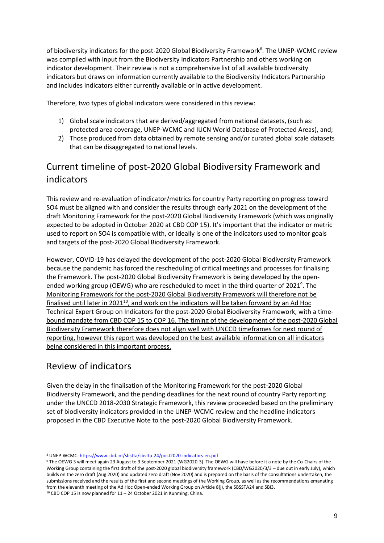of biodiversity indicators for the post-2020 Global Biodiversity Framework $^8$ . The UNEP-WCMC review was compiled with input from the Biodiversity Indicators Partnership and others working on indicator development. Their review is not a comprehensive list of all available biodiversity indicators but draws on information currently available to the Biodiversity Indicators Partnership and includes indicators either currently available or in active development.

Therefore, two types of global indicators were considered in this review:

- 1) Global scale indicators that are derived/aggregated from national datasets, (such as: protected area coverage, UNEP-WCMC and IUCN World Database of Protected Areas), and;
- 2) Those produced from data obtained by remote sensing and/or curated global scale datasets that can be disaggregated to national levels.

### <span id="page-8-0"></span>Current timeline of post-2020 Global Biodiversity Framework and indicators

This review and re-evaluation of indicator/metrics for country Party reporting on progress toward SO4 must be aligned with and consider the results through early 2021 on the development of the draft Monitoring Framework for the post-2020 Global Biodiversity Framework (which was originally expected to be adopted in October 2020 at CBD COP 15). It's important that the indicator or metric used to report on SO4 is compatible with, or ideally is one of the indicators used to monitor goals and targets of the post-2020 Global Biodiversity Framework.

However, COVID-19 has delayed the development of the post-2020 Global Biodiversity Framework because the pandemic has forced the rescheduling of critical meetings and processes for finalising the Framework. The post-2020 Global Biodiversity Framework is being developed by the openended working group (OEWG) who are rescheduled to meet in the third quarter of 2021<sup>9</sup>. The Monitoring Framework for the post-2020 Global Biodiversity Framework will therefore not be finalised until later in 2021<sup>10</sup>, and work on the indicators will be taken forward by an Ad Hoc Technical Expert Group on Indicators for the post-2020 Global Biodiversity Framework, with a timebound mandate from CBD COP 15 to COP 16. The timing of the development of the post-2020 Global Biodiversity Framework therefore does not align well with UNCCD timeframes for next round of reporting, however this report was developed on the best available information on all indicators being considered in this important process.

### <span id="page-8-1"></span>Review of indicators

Given the delay in the finalisation of the Monitoring Framework for the post-2020 Global Biodiversity Framework, and the pending deadlines for the next round of country Party reporting under the UNCCD 2018-2030 Strategic Framework, this review proceeded based on the preliminary set of biodiversity indicators provided in the UNEP-WCMC review and the headline indicators proposed in the CBD Executive Note to the post-2020 Global Biodiversity Framework.

<sup>8</sup> UNEP-WCMC[: https://www.cbd.int/sbstta/sbstta-24/post2020-indicators-en.pdf](https://www.cbd.int/sbstta/sbstta-24/post2020-indicators-en.pdf)

<sup>9</sup> The OEWG 3 will meet again 23 August to 3 September 2021 (WG2020-3). The OEWG will have before it a note by the Co-Chairs of the Working Group containing the first draft of the post-2020 global biodiversity framework (CBD/WG2020/3/3 – due out in early July), which builds on the zero draft (Aug 2020) and updated zero draft (Nov 2020) and is prepared on the basis of the consultations undertaken, the submissions received and the results of the first and second meetings of the Working Group, as well as the recommendations emanating from the eleventh meeting of the Ad Hoc Open-ended Working Group on Article 8(j), the SBSSTA24 and SBI3.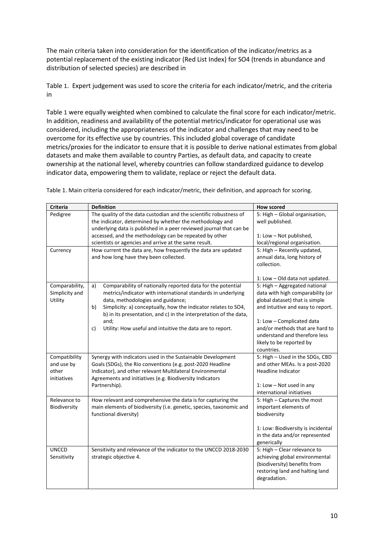The main criteria taken into consideration for the identification of the indicator/metrics as a potential replacement of the existing indicator (Red List Index) for SO4 (trends in abundance and distribution of selected species) are described in

[Table](#page-9-0) 1. Expert judgement was used to score the criteria for each indicator/metric, and the criteria in

[Table](#page-9-0) 1 were equally weighted when combined to calculate the final score for each indicator/metric. In addition, readiness and availability of the potential metrics/indicator for operational use was considered, including the appropriateness of the indicator and challenges that may need to be overcome for its effective use by countries. This included global coverage of candidate metrics/proxies for the indicator to ensure that it is possible to derive national estimates from global datasets and make them available to country Parties, as default data, and capacity to create ownership at the national level, whereby countries can follow standardized guidance to develop indicator data, empowering them to validate, replace or reject the default data.

| <b>Criteria</b>                                     | <b>Definition</b>                                                                                                                                                                                                                                                                                                                                                                              | <b>How scored</b>                                                                                                                                                                                                                                                                   |
|-----------------------------------------------------|------------------------------------------------------------------------------------------------------------------------------------------------------------------------------------------------------------------------------------------------------------------------------------------------------------------------------------------------------------------------------------------------|-------------------------------------------------------------------------------------------------------------------------------------------------------------------------------------------------------------------------------------------------------------------------------------|
| Pedigree<br>Currency                                | The quality of the data custodian and the scientific robustness of<br>the indicator, determined by whether the methodology and<br>underlying data is published in a peer reviewed journal that can be<br>accessed, and the methodology can be repeated by other<br>scientists or agencies and arrive at the same result.<br>How current the data are, how frequently the data are updated      | 5: High - Global organisation,<br>well published.<br>1: Low - Not published,<br>local/regional organisation.<br>5: High - Recently updated,                                                                                                                                         |
|                                                     | and how long have they been collected.                                                                                                                                                                                                                                                                                                                                                         | annual data, long history of<br>collection.<br>1: Low - Old data not updated.                                                                                                                                                                                                       |
| Comparability,<br>Simplicity and<br>Utility         | Comparability of nationally reported data for the potential<br>a)<br>metrics/indicator with international standards in underlying<br>data, methodologies and guidance;<br>Simplicity: a) conceptually, how the indicator relates to SO4,<br>b)<br>b) in its presentation, and c) in the interpretation of the data,<br>and;<br>c)<br>Utility: How useful and intuitive the data are to report. | 5: High - Aggregated national<br>data with high comparability (or<br>global dataset) that is simple<br>and intuitive and easy to report.<br>1: Low - Complicated data<br>and/or methods that are hard to<br>understand and therefore less<br>likely to be reported by<br>countries. |
| Compatibility<br>and use by<br>other<br>initiatives | Synergy with indicators used in the Sustainable Development<br>Goals (SDGs), the Rio conventions (e.g. post-2020 Headline<br>Indicator), and other relevant Multilateral Environmental<br>Agreements and initiatives (e.g. Biodiversity Indicators<br>Partnership).                                                                                                                            | 5: High - Used in the SDGs, CBD<br>and other MEAs. Is a post-2020<br><b>Headline Indicator</b><br>1: Low - Not used in any<br>international initiatives                                                                                                                             |
| Relevance to<br>Biodiversity                        | How relevant and comprehensive the data is for capturing the<br>main elements of biodiversity (i.e. genetic, species, taxonomic and<br>functional diversity)                                                                                                                                                                                                                                   | 5: High - Captures the most<br>important elements of<br>biodiversity<br>1: Low: Biodiversity is incidental<br>in the data and/or represented<br>generically                                                                                                                         |
| <b>UNCCD</b><br>Sensitivity                         | Sensitivity and relevance of the indicator to the UNCCD 2018-2030<br>strategic objective 4.                                                                                                                                                                                                                                                                                                    | 5: High - Clear relevance to<br>achieving global environmental<br>(biodiversity) benefits from<br>restoring land and halting land<br>degradation.                                                                                                                                   |

<span id="page-9-0"></span>Table 1. Main criteria considered for each indicator/metric, their definition, and approach for scoring.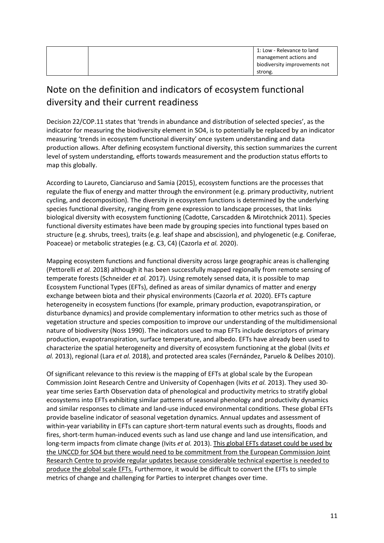|  | 1: Low - Relevance to land    |
|--|-------------------------------|
|  | management actions and        |
|  | biodiversity improvements not |
|  | strong.                       |

## <span id="page-10-0"></span>Note on the definition and indicators of ecosystem functional diversity and their current readiness

Decision 22/COP.11 states that 'trends in abundance and distribution of selected species', as the indicator for measuring the biodiversity element in SO4, is to potentially be replaced by an indicator measuring 'trends in ecosystem functional diversity' once system understanding and data production allows. After defining ecosystem functional diversity, this section summarizes the current level of system understanding, efforts towards measurement and the production status efforts to map this globally.

According to Laureto, Cianciaruso and Samia (2015), ecosystem functions are the processes that regulate the flux of energy and matter through the environment (e.g. primary productivity, nutrient cycling, and decomposition). The diversity in ecosystem functions is determined by the underlying species functional diversity, ranging from gene expression to landscape processes, that links biological diversity with ecosystem functioning (Cadotte, Carscadden & Mirotchnick 2011). Species functional diversity estimates have been made by grouping species into functional types based on structure (e.g. shrubs, trees), traits (e.g. leaf shape and abscission), and phylogenetic (e.g. Coniferae, Poaceae) or metabolic strategies (e.g. C3, C4) (Cazorla *et al.* 2020).

Mapping ecosystem functions and functional diversity across large geographic areas is challenging (Pettorelli *et al.* 2018) although it has been successfully mapped regionally from remote sensing of temperate forests (Schneider *et al.* 2017). Using remotely sensed data, it is possible to map Ecosystem Functional Types (EFTs), defined as areas of similar dynamics of matter and energy exchange between biota and their physical environments (Cazorla *et al.* 2020). EFTs capture heterogeneity in ecosystem functions (for example, primary production, evapotranspiration, or disturbance dynamics) and provide complementary information to other metrics such as those of vegetation structure and species composition to improve our understanding of the multidimensional nature of biodiversity (Noss 1990). The indicators used to map EFTs include descriptors of primary production, evapotranspiration, surface temperature, and albedo. EFTs have already been used to characterize the spatial heterogeneity and diversity of ecosystem functioning at the global (Ivits *et al.* 2013), regional (Lara *et al.* 2018), and protected area scales (Fernández, Paruelo & Delibes 2010).

Of significant relevance to this review is the mapping of EFTs at global scale by the European Commission Joint Research Centre and University of Copenhagen (Ivits *et al.* 2013). They used 30 year time series Earth Observation data of phenological and productivity metrics to stratify global ecosystems into EFTs exhibiting similar patterns of seasonal phenology and productivity dynamics and similar responses to climate and land-use induced environmental conditions. These global EFTs provide baseline indicator of seasonal vegetation dynamics. Annual updates and assessment of within-year variability in EFTs can capture short-term natural events such as droughts, floods and fires, short-term human-induced events such as land use change and land use intensification, and long-term impacts from climate change (Ivits *et al.* 2013). This global EFTs dataset could be used by the UNCCD for SO4 but there would need to be commitment from the European Commission Joint Research Centre to provide regular updates because considerable technical expertise is needed to produce the global scale EFTs. Furthermore, it would be difficult to convert the EFTs to simple metrics of change and challenging for Parties to interpret changes over time.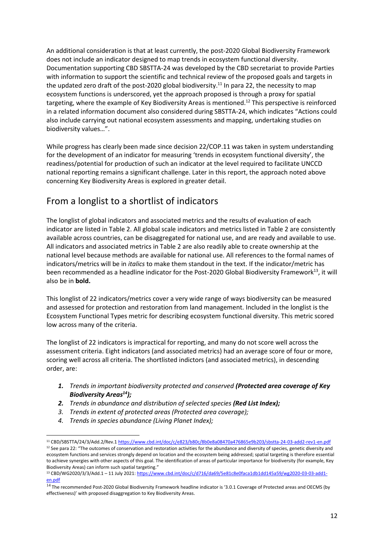An additional consideration is that at least currently, the post-2020 Global Biodiversity Framework does not include an indicator designed to map trends in ecosystem functional diversity. Documentation supporting CBD SBSTTA-24 was developed by the CBD secretariat to provide Parties with information to support the scientific and technical review of the proposed goals and targets in the updated zero draft of the post-2020 global biodiversity.<sup>11</sup> In para 22, the necessity to map ecosystem functions is underscored, yet the approach proposed is through a proxy for spatial targeting, where the example of Key Biodiversity Areas is mentioned. <sup>12</sup> This perspective is reinforced in a related information document also considered during SBSTTA-24, which indicates "Actions could also include carrying out national ecosystem assessments and mapping, undertaking studies on biodiversity values…".

While progress has clearly been made since decision 22/COP.11 was taken in system understanding for the development of an indicator for measuring 'trends in ecosystem functional diversity', the readiness/potential for production of such an indicator at the level required to facilitate UNCCD national reporting remains a significant challenge. Later in this report, the approach noted above concerning Key Biodiversity Areas is explored in greater detail.

### <span id="page-11-0"></span>From a longlist to a shortlist of indicators

The longlist of global indicators and associated metrics and the results of evaluation of each indicator are listed in [Table 2.](#page-16-0) All global scale indicators and metrics listed in [Table 2](#page-16-0) are consistently available across countries, can be disaggregated for national use, and are ready and available to use. All indicators and associated metrics in [Table 2](#page-16-0) are also readily able to create ownership at the national level because methods are available for national use. All references to the formal names of indicators/metrics will be in *italics* to make them standout in the text. If the indicator/metric has been recommended as a headline indicator for the Post-2020 Global Biodiversity Framework<sup>13</sup>, it will also be in **bold.**

This longlist of 22 indicators/metrics cover a very wide range of ways biodiversity can be measured and assessed for protection and restoration from land management. Included in the longlist is the Ecosystem Functional Types metric for describing ecosystem functional diversity. This metric scored low across many of the criteria.

The longlist of 22 indicators is impractical for reporting, and many do not score well across the assessment criteria. Eight indicators (and associated metrics) had an average score of four or more, scoring well across all criteria. The shortlisted indictors (and associated metrics), in descending order, are:

- *1. Trends in important biodiversity protected and conserved (Protected area coverage of Key Biodiversity Areas<sup>14</sup>);*
- *2. Trends in abundance and distribution of selected species (Red List Index);*
- *3. Trends in extent of protected areas (Protected area coverage);*
- *4. Trends in species abundance (Living Planet Index);*

<sup>11</sup> CBD/SBSTTA/24/3/Add.2/Rev.1 <https://www.cbd.int/doc/c/e823/b80c/8b0e8a08470a476865e9b203/sbstta-24-03-add2-rev1-en.pdf> <sup>12</sup> See para 22: "The outcomes of conservation and restoration activities for the abundance and diversity of species, genetic diversity and ecosystem functions and services strongly depend on location and the ecosystem being addressed; spatial targeting is therefore essential to achieve synergies with other aspects of this goal. The identification of areas of particular importance for biodiversity (for example, Key Biodiversity Areas) can inform such spatial targeting."

<sup>13</sup> CBD/WG2020/3/3/Add.1 – 11 July 2021: [https://www.cbd.int/doc/c/d716/da69/5e81c8e0faca1db1dd145a59/wg2020-03-03-add1](https://www.cbd.int/doc/c/d716/da69/5e81c8e0faca1db1dd145a59/wg2020-03-03-add1-en.pdf) [en.pdf](https://www.cbd.int/doc/c/d716/da69/5e81c8e0faca1db1dd145a59/wg2020-03-03-add1-en.pdf)

 $\frac{14}{10}$  The recommended Post-2020 Global Biodiversity Framework headline indicator is '3.0.1 Coverage of Protected areas and OECMS (by effectiveness)' with proposed disaggregation to Key Biodiversity Areas.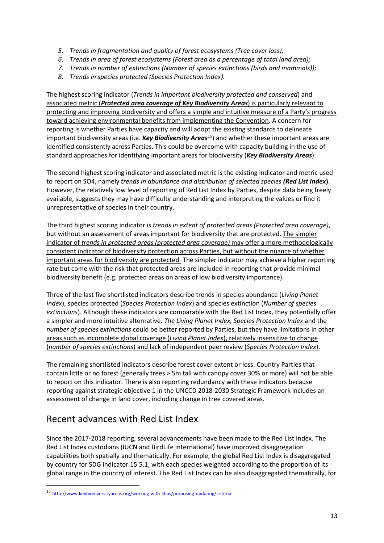- *5. Trends in fragmentation and quality of forest ecosystems (Tree cover loss);*
- *6. Trends in area of forest ecosystems (Forest area as a percentage of total land area);*
- *7. Trends in number of extinctions (Number of species extinctions (birds and mammals));*
- *8. Trends in species protected (Species Protection Index).*

The highest scoring indicator (*Trends in important biodiversity protected and conserved*) and associated metric (*Protected area coverage of Key Biodiversity Areas*) is particularly relevant to protecting and improving biodiversity and offers a simple and intuitive measure of a Party's progress toward achieving environmental benefits from implementing the Convention. A concern for reporting is whether Parties have capacity and will adopt the existing standards to delineate important biodiversity areas (i.e. *Key Biodiversity Areas*<sup>15</sup>) and whether these important areas are identified consistently across Parties. This could be overcome with capacity building in the use of standard approaches for identifying important areas for biodiversity (*Key Biodiversity Areas*).

The second highest scoring indicator and associated metric is the existing indicator and metric used to report on SO4, namely *trends in abundance and distribution of selected species (Red List Index***)**. However, the relatively low level of reporting of Red List Index by Parties, despite data being freely available, suggests they may have difficulty understanding and interpreting the values or find it unrepresentative of species in their country.

The third highest scoring indicator is *trends in extent of protected areas (Protected area coverage)*, but without an assessment of areas important for biodiversity that are protected. The simpler indicator of *trends in protected areas (protected area coverage)* may offer a more methodologically consistent indicator of biodiversity protection across Parties, but without the nuance of whether important areas for biodiversity are protected. The simpler indicator may achieve a higher reporting rate but come with the risk that protected areas are included in reporting that provide minimal biodiversity benefit (e.g. protected areas on areas of low biodiversity importance).

Three of the last five shortlisted indicators describe trends in species abundance (*Living Planet Index*), species protected (*Species Protection Index*) and species extinction (*Number of species extinctions*). Although these indicators are comparable with the Red List Index, they potentially offer a simpler and more intuitive alternative. *The Living Planet Index, Species Protection Index* and the *number of species extinctions* could be better reported by Parties, but they have limitations in other areas such as incomplete global coverage (*Living Planet Index*), relatively insensitive to change (*number of species extinctions*) and lack of independent peer review (*Species Protection Index*).

The remaining shortlisted indicators describe forest cover extent or loss. Country Parties that contain little or no forest (generally trees > 5m tall with canopy cover 30% or more) will not be able to report on this indicator. There is also reporting redundancy with these indicators because reporting against strategic objective 1 in the UNCCD 2018-2030 Strategic Framework includes an assessment of change in land cover, including change in tree covered areas.

### <span id="page-12-0"></span>Recent advances with Red List Index

Since the 2017-2018 reporting, several advancements have been made to the Red List Index. The Red List Index custodians (IUCN and BirdLife International) have improved disaggregation capabilities both spatially and thematically. For example, the global Red List Index is disaggregated by country for SDG indicator 15.5.1, with each species weighted according to the proportion of its global range in the country of interest. The Red List Index can be also disaggregated thematically, for

<sup>15</sup> <http://www.keybiodiversityareas.org/working-with-kbas/proposing-updating/criteria>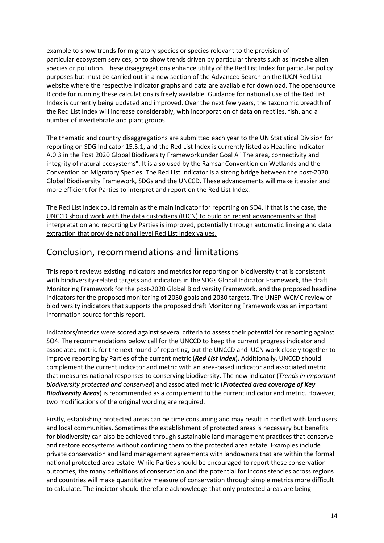example to show trends for migratory species or species relevant to the provision of particular ecosystem services, or to show trends driven by particular threats such as invasive alien species or pollution. These disaggregations enhance utility of the Red List Index for particular policy purposes but must be carried out in a new section of the Advanced Search on the IUCN Red List website where the respective indicator graphs and data are available for download. The opensource R code for running these calculations is freely available. Guidance for national use of the Red List Index is currently being updated and improved. Over the next few years, the taxonomic breadth of the Red List Index will increase considerably, with incorporation of data on reptiles, fish, and a number of invertebrate and plant groups.

The thematic and country disaggregations are submitted each year to the UN Statistical Division for reporting on SDG Indicator 15.5.1, and the Red List Index is currently listed as Headline Indicator A.0.3 in the Post 2020 Global Biodiversity Frameworkunder Goal A "The area, connectivity and integrity of natural ecosystems". It is also used by the Ramsar Convention on Wetlands and the Convention on Migratory Species. The Red List Indicator is a strong bridge between the post-2020 Global Biodiversity Framework, SDGs and the UNCCD. These advancements will make it easier and more efficient for Parties to interpret and report on the Red List Index.

The Red List Index could remain as the main indicator for reporting on SO4. If that is the case, the UNCCD should work with the data custodians (IUCN) to build on recent advancements so that interpretation and reporting by Parties is improved, potentially through automatic linking and data extraction that provide national level Red List Index values.

#### <span id="page-13-0"></span>Conclusion, recommendations and limitations

This report reviews existing indicators and metrics for reporting on biodiversity that is consistent with biodiversity-related targets and indicators in the SDGs Global Indicator Framework, the draft Monitoring Framework for the post-2020 Global Biodiversity Framework, and the proposed headline indicators for the proposed monitoring of 2050 goals and 2030 targets. The UNEP-WCMC review of biodiversity indicators that supports the proposed draft Monitoring Framework was an important information source for this report.

Indicators/metrics were scored against several criteria to assess their potential for reporting against SO4. The recommendations below call for the UNCCD to keep the current progress indicator and associated metric for the next round of reporting, but the UNCCD and IUCN work closely together to improve reporting by Parties of the current metric (*Red List Index*). Additionally, UNCCD should complement the current indicator and metric with an area-based indicator and associated metric that measures national responses to conserving biodiversity. The new indicator (*Trends in important biodiversity protected and conserved*) and associated metric (*Protected area coverage of Key Biodiversity Areas*) is recommended as a complement to the current indicator and metric. However, two modifications of the original wording are required.

Firstly, establishing protected areas can be time consuming and may result in conflict with land users and local communities. Sometimes the establishment of protected areas is necessary but benefits for biodiversity can also be achieved through sustainable land management practices that conserve and restore ecosystems without confining them to the protected area estate. Examples include private conservation and land management agreements with landowners that are within the formal national protected area estate. While Parties should be encouraged to report these conservation outcomes, the many definitions of conservation and the potential for inconsistencies across regions and countries will make quantitative measure of conservation through simple metrics more difficult to calculate. The indictor should therefore acknowledge that only protected areas are being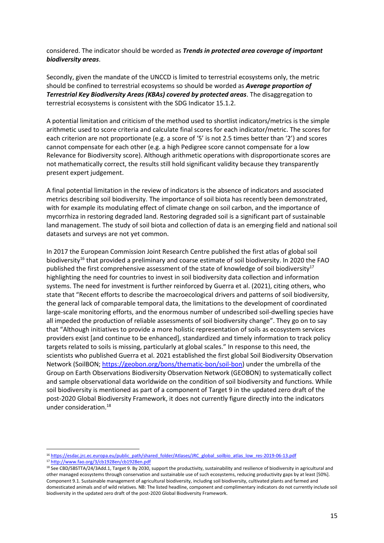considered. The indicator should be worded as *Trends in protected area coverage of important biodiversity areas*.

Secondly, given the mandate of the UNCCD is limited to terrestrial ecosystems only, the metric should be confined to terrestrial ecosystems so should be worded as *Average proportion of Terrestrial Key Biodiversity Areas (KBAs) covered by protected areas*. The disaggregation to terrestrial ecosystems is consistent with the SDG Indicator 15.1.2.

A potential limitation and criticism of the method used to shortlist indicators/metrics is the simple arithmetic used to score criteria and calculate final scores for each indicator/metric. The scores for each criterion are not proportionate (e.g. a score of '5' is not 2.5 times better than '2') and scores cannot compensate for each other (e.g. a high Pedigree score cannot compensate for a low Relevance for Biodiversity score). Although arithmetic operations with disproportionate scores are not mathematically correct, the results still hold significant validity because they transparently present expert judgement.

A final potential limitation in the review of indicators is the absence of indicators and associated metrics describing soil biodiversity. The importance of soil biota has recently been demonstrated, with for example its modulating effect of climate change on soil carbon, and the importance of mycorrhiza in restoring degraded land. Restoring degraded soil is a significant part of sustainable land management. The study of soil biota and collection of data is an emerging field and national soil datasets and surveys are not yet common.

In 2017 the European Commission Joint Research Centre published the first atlas of global soil biodiversity<sup>16</sup> that provided a preliminary and coarse estimate of soil biodiversity. In 2020 the FAO published the first comprehensive assessment of the state of knowledge of soil biodiversity<sup>17</sup> highlighting the need for countries to invest in soil biodiversity data collection and information systems. The need for investment is further reinforced by Guerra et al. (2021), citing others, who state that "Recent efforts to describe the macroecological drivers and patterns of soil biodiversity, the general lack of comparable temporal data, the limitations to the development of coordinated large-scale monitoring efforts, and the enormous number of undescribed soil-dwelling species have all impeded the production of reliable assessments of soil biodiversity change". They go on to say that "Although initiatives to provide a more holistic representation of soils as ecosystem services providers exist [and continue to be enhanced], standardized and timely information to track policy targets related to soils is missing, particularly at global scales." In response to this need, the scientists who published Guerra et al. 2021 established the first global Soil Biodiversity Observation Network (SoilBON; [https://geobon.org/bons/thematic-bon/soil-bon\)](https://geobon.org/bons/thematic-bon/soil-bon) under the umbrella of the Group on Earth Observations Biodiversity Observation Network (GEOBON) to systematically collect and sample observational data worldwide on the condition of soil biodiversity and functions. While soil biodiversity is mentioned as part of a component of Target 9 in the updated zero draft of the post-2020 Global Biodiversity Framework, it does not currently figure directly into the indicators under consideration.<sup>18</sup>

<sup>17</sup> <http://www.fao.org/3/cb1928en/cb1928en.pdf>

<sup>16</sup> [https://esdac.jrc.ec.europa.eu/public\\_path/shared\\_folder/Atlases/JRC\\_global\\_soilbio\\_atlas\\_low\\_res-2019-06-13.pdf](https://esdac.jrc.ec.europa.eu/public_path/shared_folder/Atlases/JRC_global_soilbio_atlas_low_res-2019-06-13.pdf)

<sup>18</sup> See CBD/SBSTTA/24/3Add.1, Target 9. By 2030, support the productivity, sustainability and resilience of biodiversity in agricultural and other managed ecosystems through conservation and sustainable use of such ecosystems, reducing productivity gaps by at least [50%]. Component 9.1. Sustainable management of agricultural biodiversity, including soil biodiversity, cultivated plants and farmed and domesticated animals and of wild relatives. NB: The listed headline, component and complimentary indicators do not currently include soil biodiversity in the updated zero draft of the post-2020 Global Biodiversity Framework.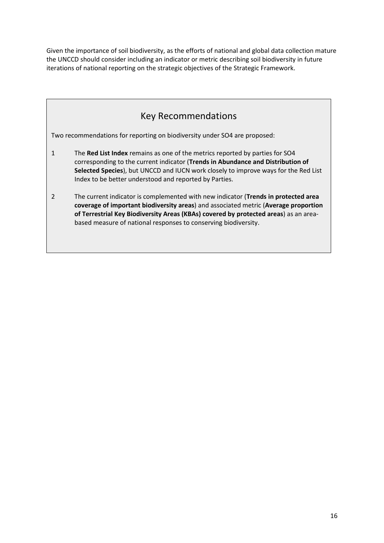Given the importance of soil biodiversity, as the efforts of national and global data collection mature the UNCCD should consider including an indicator or metric describing soil biodiversity in future iterations of national reporting on the strategic objectives of the Strategic Framework.



Two recommendations for reporting on biodiversity under SO4 are proposed:

- 1 The **Red List Index** remains as one of the metrics reported by parties for SO4 corresponding to the current indicator (**Trends in Abundance and Distribution of Selected Species**), but UNCCD and IUCN work closely to improve ways for the Red List Index to be better understood and reported by Parties.
- 2 The current indicator is complemented with new indicator (**Trends in protected area coverage of important biodiversity areas**) and associated metric (**Average proportion of Terrestrial Key Biodiversity Areas (KBAs) covered by protected areas**) as an areabased measure of national responses to conserving biodiversity.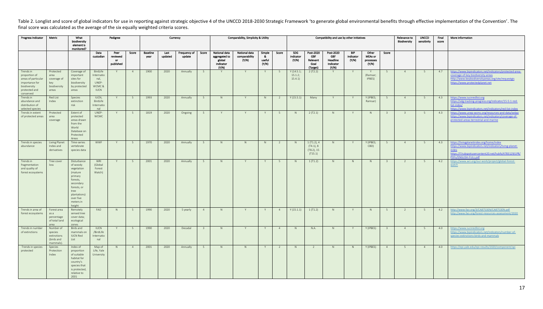Table 2. Longlist and score of global indicators for use in reporting against strategic objective 4 of the UNCCD 2018-2030 Strategic Framework 'to generate global environmental benefits through effective implementation of final score was calculated as the average of the six equally weighted criteria scores.

<span id="page-16-0"></span>

| Progress Indicator                                                                                                | Metric                                                           | What<br>biodiversity<br>element is<br>monitored?                                                                                                                | Pedigree<br>Currency                                             |                                     |                |                         |                 |                        |                         |                                                                | Comparability, Simplicity & Utility     |                                  |                |                                 |                                                         | Compatibility and use by other initiatives                |                                  |                                               |                         | Relevance to<br>Biodiversity | <b>UNCCD</b><br>sensitivity | Final<br>score | More information                                                                                                                                                                               |
|-------------------------------------------------------------------------------------------------------------------|------------------------------------------------------------------|-----------------------------------------------------------------------------------------------------------------------------------------------------------------|------------------------------------------------------------------|-------------------------------------|----------------|-------------------------|-----------------|------------------------|-------------------------|----------------------------------------------------------------|-----------------------------------------|----------------------------------|----------------|---------------------------------|---------------------------------------------------------|-----------------------------------------------------------|----------------------------------|-----------------------------------------------|-------------------------|------------------------------|-----------------------------|----------------|------------------------------------------------------------------------------------------------------------------------------------------------------------------------------------------------|
|                                                                                                                   |                                                                  |                                                                                                                                                                 | Data<br>custodian                                                | Peer<br>reviewed<br>or<br>published | Score          | <b>Baseline</b><br>year | Last<br>updated | Frequency of<br>update | Score                   | National data<br>aggregated to<br>global<br>indicator<br>(Y/N) | National data<br>comparability<br>(Y/N) | Simple<br>- &<br>useful<br>(Y/N) | Score          | SDG<br>indicator<br>(Y/N)       | Post-2020<br><b>GBF</b><br>Relevant<br>Goal<br>(Target) | Post-2020<br><b>GBF</b><br>Headline<br>Indicator<br>(Y/N) | <b>BIP</b><br>indicator<br>(Y/N) | Other<br><b>MEAs or</b><br>processes<br>(Y/N) | Score                   |                              |                             |                |                                                                                                                                                                                                |
| Trends in<br>proportion of<br>areas of particular<br>importance for<br>biodiversity<br>protected and<br>conserved | Protected<br>area<br>coverage of<br>key<br>biodiversity<br>areas | Coverage of<br>important<br>sites for<br>biodiversity<br>by protected<br>areas                                                                                  | BirdLife<br>Internatio<br>nal,<br>UNEP-<br>WCMC &<br><b>IUCN</b> | Y                                   | $\overline{4}$ | 1900                    | 2020            | Annually               | 5 <sup>5</sup>          | Y                                                              | Y                                       | Y                                | - 5            | Y(14.5.1)<br>15.1.2:<br>15.4.1) | 2(T2.2)                                                 | Y                                                         | Y                                | Y<br>(Ramsar:<br>IPBES)                       | 5 <sup>5</sup>          | 4                            | 5 <sup>5</sup>              | 4.7            | https://www.bipindicators.net/indicators/protected-area-<br>coverage-of-key-biodiversity-areas<br>http://www.keybiodiversityareas.org/site/requestgis<br>https://www.protectedplanet.net       |
| Trends in<br>abundance and<br>distribution of<br>selected species                                                 | Red List<br>Index                                                | Species<br>extinction<br>risk                                                                                                                                   | IUCN,<br>BirdLife<br>Internatio<br>nal                           | Y                                   | 5 <sup>5</sup> | 1993                    | 2020            | Annually               | 5                       | N                                                              | Y                                       | N                                | <sup>2</sup>   | Y(15.5.1)                       | Many                                                    | Y                                                         | Y                                | Y (IPBES;<br>Ramsar)                          | 5                       | 4                            | 5 <sup>5</sup>              | 4.3            | https://www.iucnredlist.org<br>https://sdg.tracking-progress.org/indicator/15-5-1-red-<br>list-index/<br>https://www.bipindicators.net/indicators/red-list-index                               |
| Trends in extent<br>of protected areas                                                                            | Protected<br>area<br>coverage                                    | Extent of<br>protected<br>areas drawn<br>from the<br>World<br>Database on<br>Protected<br>Areas                                                                 | UNEP-<br><b>WCMC</b>                                             | Y                                   | 5 <sup>5</sup> | 1819                    | 2020            | Ongoing                | 5 <sup>5</sup>          | Y                                                              | Y                                       | Y                                | 5              | N                               | 2(T2.1)                                                 | N                                                         | Y                                | N                                             | $\overline{\mathbf{3}}$ | $\overline{3}$               | 5 <sup>5</sup>              | 4.3            | https://www.unep-wcmc.org/resources-and-data/wdpa<br>https://www.bipindicators.net/indicators/coverage-of-<br>protected-areas-terrestrial-and-marine                                           |
| Trends in species<br>abundance                                                                                    | Living Planet<br>Index and<br>derivatives                        | Time-series<br>vertebrate<br>species data                                                                                                                       | <b>WWF</b>                                                       | Y                                   | 5              | 1970                    | 2020            | Annually               | 5                       | N                                                              | N                                       | N                                | <sup>2</sup>   | N                               | 1(T1.2), 4<br>(T4.1), 8<br>$(T8.2)$ , 15<br>(T15.1)     | N                                                         | Y                                | Y (IPBES;<br>CBD)                             | 5                       | $\overline{4}$               | 5 <sup>5</sup>              | 4.3            | https://livingplanetindex.org/home/index<br>https://www.bipindicators.net/indicators/living-planet-<br>index<br>https://f.hubspotusercontent20.net/hubfs/4783129/LPR/<br>PDFs/ENGLISH-FULL.pdf |
| Trends in<br>fragmentation<br>and quality of<br>forest ecosystems                                                 | Tree cover<br>loss                                               | Disturbance<br>of woody<br>vegetation<br>(mature<br>primary<br>forests.<br>secondary<br>forests, or<br>tree<br>plantations)<br>over five<br>meters in<br>height | WRI<br>(Global<br>Forest<br>Watch)                               | Y                                   | 5 <sup>5</sup> | 2001                    | 2020            | Annually               | 5 <sup>5</sup>          | N                                                              | Y                                       | Y                                | -5             | N                               | 1(T1.2)                                                 | N                                                         | N                                | N                                             | $\overline{\mathbf{3}}$ | 2                            | 5 <sup>5</sup>              | 4.2            | https://www.wri.org/our-work/project/global-forest-<br>watch                                                                                                                                   |
| Trends in area of<br>forest ecosystems                                                                            | Forest area<br>as a<br>percentage<br>of total land<br>area       | Remotely<br>sensed tree<br>cover data;<br>ecological<br>zones                                                                                                   | FAO                                                              | N                                   | 5              | 1990                    | 2020            | 5 yearly               | $\overline{4}$          | N                                                              | Y                                       | Y                                | $\overline{4}$ | Y(15.1.1)                       | 1(T1.2)                                                 | N                                                         | Y                                | N                                             | - 5                     | <sup>2</sup>                 | 5 <sup>5</sup>              | 4.2            | http://www.fao.org/3/CA8753EN/CA8753EN.pdf<br>http://www.fao.org/forest-resources-assessment/2020                                                                                              |
| Trends in number<br>of extinctions                                                                                | Number of<br>species<br>extinctions<br>(birds and<br>mammals)    | Birds and<br>mammals on<br><b>IUCN Red</b><br>List                                                                                                              | <b>IUCN</b><br>/BirdLife<br>Internatio<br>nal                    | Y                                   | 5              | 1990                    | 2020            | Decadal                | $\overline{\mathbf{3}}$ | N                                                              | Y                                       | Y                                | $\overline{4}$ | N                               | N.A.                                                    | N                                                         | Y                                | Y (IPBES)                                     | $\overline{\mathbf{3}}$ | $\overline{4}$               | 5 <sup>5</sup>              | 4.0            | https://www.iucnredlist.org<br>https://www.bipindicators.net/indicators/number-of-<br>species-extinctions-birds-and-mammals                                                                    |
| Trends in species<br>protected                                                                                    | Species<br>Protection<br>Index                                   | Index of<br>proportion<br>of suitable<br>habitat for<br>country's<br>species that<br>is protected<br>relative to<br>2001                                        | Map of<br>Life, Yale<br>University                               | N                                   | $\overline{4}$ | 2001                    | 2020            | Annually               | 5 <sup>5</sup>          | N                                                              | N                                       | Y                                | <sup>2</sup>   | N                               | $\overline{2}$                                          | N                                                         | N                                | Y (IPBES)                                     | $\overline{4}$          | 5 <sup>5</sup>               | $\overline{4}$              | 4.0            | https://epi.yale.edu/epi-results/2020/component/spi                                                                                                                                            |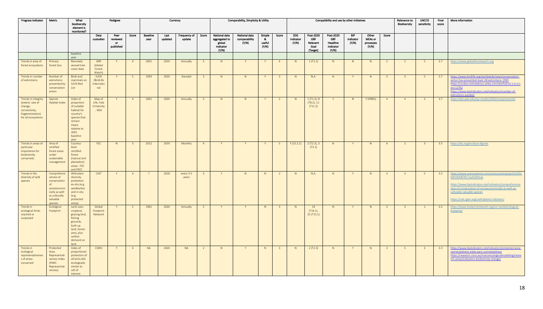| Progress Indicator                                                                                           | Metric                                                                                                                          | What<br>biodiversity<br>element is<br>monitored?                                                                                                  |                                               | Pedigree                              |                         |                         | Currency        |                        |                         | Comparability, Simplicity & Utility                            |                                         |                                  | Compatibility and use by other initiatives |                           |                                                         | Relevance to<br><b>Biodiversity</b>                       | <b>UNCCD</b><br>sensitivity      | Final<br>score                                | More information        |                         |                         |     |                                                                                                                                                                                                                                                                                        |
|--------------------------------------------------------------------------------------------------------------|---------------------------------------------------------------------------------------------------------------------------------|---------------------------------------------------------------------------------------------------------------------------------------------------|-----------------------------------------------|---------------------------------------|-------------------------|-------------------------|-----------------|------------------------|-------------------------|----------------------------------------------------------------|-----------------------------------------|----------------------------------|--------------------------------------------|---------------------------|---------------------------------------------------------|-----------------------------------------------------------|----------------------------------|-----------------------------------------------|-------------------------|-------------------------|-------------------------|-----|----------------------------------------------------------------------------------------------------------------------------------------------------------------------------------------------------------------------------------------------------------------------------------------|
|                                                                                                              |                                                                                                                                 |                                                                                                                                                   | Data<br>custodian                             | Peer<br>reviewed<br>- or<br>published | Score                   | <b>Baseline</b><br>year | Last<br>updated | Frequency of<br>update | Score                   | National data<br>aggregated to<br>global<br>indicator<br>(Y/N) | National data<br>comparability<br>(Y/N) | Simple<br>-84<br>useful<br>(Y/N) | Score                                      | SDG<br>indicator<br>(Y/N) | Post-2020<br><b>GBF</b><br>Relevant<br>Goal<br>(Target) | Post-2020<br><b>GBF</b><br>Headline<br>Indicator<br>(Y/N) | <b>BIP</b><br>indicator<br>(Y/N) | Other<br><b>MEAs or</b><br>processes<br>(Y/N) | Score                   |                         |                         |     |                                                                                                                                                                                                                                                                                        |
|                                                                                                              |                                                                                                                                 | baseline<br>year                                                                                                                                  |                                               |                                       |                         |                         |                 |                        |                         |                                                                |                                         |                                  |                                            |                           |                                                         |                                                           |                                  |                                               |                         |                         |                         |     |                                                                                                                                                                                                                                                                                        |
| Trends in area of<br>forest ecosystems                                                                       | Primary<br>forest loss                                                                                                          | Remotely<br>sensed tree<br>cover data                                                                                                             | WRI<br>(Global<br>Forest<br>Watch)            |                                       | $\overline{4}$          | 2001                    | 2019            | Annually               | 5 <sup>5</sup>          | N                                                              | Y                                       | Y                                | $\overline{4}$                             | N                         | 1(T1.2)                                                 | N                                                         | N                                | N                                             | $\overline{2}$          | $\overline{2}$          | 5                       | 3.7 | https://www.globalforestwatch.org                                                                                                                                                                                                                                                      |
| Trends in number<br>of extinctions                                                                           | Number of<br>extinctions<br>prevented by<br>conservation<br>action                                                              | Birds and<br>mammals on<br><b>IUCN Red</b><br>List                                                                                                | <b>IUCN</b><br>/BirdLife<br>Internatio<br>nal |                                       | 5                       | 1993                    | 2020            | Decadal                | $\overline{\mathbf{3}}$ | N                                                              | N                                       | Y                                | $\overline{\mathbf{3}}$                    | N                         | N.A.                                                    | N                                                         | Y                                | N                                             | $\overline{\mathbf{3}}$ | $\overline{\mathbf{3}}$ | 5 <sup>5</sup>          | 3.7 | https://www.birdlife.org/worldwide/news/conservation-<br>action-has-prevented-least-28-extinctions-1993<br>https://conbio.onlinelibrary.wiley.com/doi/full/10.1111/c<br>onl.12762<br>https://www.bipindicators.net/indicators/number-of-<br>extinctions-avoided                        |
| Trends in integrity<br>(extent, rate of<br>change,<br>connectivity,<br>fragementation)<br>for all ecosystems | Species<br>Habitat Index                                                                                                        | Index of<br>proportion<br>of suitable<br>habitat for<br>country's<br>species that<br>remain<br>intact,<br>relative to<br>2001<br>baseline<br>vear | Map of<br>Life, Yale<br>University<br>, NGS   | Y                                     | $\overline{4}$          | 2001                    | 2020            | Annually               | 5 <sup>5</sup>          | N                                                              | N                                       | Y                                | $\overline{2}$                             | N                         | 1(T1.2), 8<br>$(T8.2)$ , 11<br>(T11.2)                  | Y                                                         | N                                | Y (IPBES)                                     | $\overline{4}$          | 4                       | $\overline{\mathbf{3}}$ | 3.7 | https://epi.yale.edu/epi-results/2020/component/shi                                                                                                                                                                                                                                    |
| Trends in areas of<br>particular<br>importance for<br>biodiversity<br>conserved;                             | Area of<br>certified<br>forest areas<br>under<br>sustainable<br>management                                                      | Country-<br>level<br>certified<br>forest<br>(natural and<br>plantation)<br>areas - FSC<br>and PEFC                                                | <b>FSC</b>                                    | N                                     | $\overline{\mathbf{3}}$ | 2012                    | 2019            | Monthly                | $\overline{4}$          | Y                                                              | Y                                       | Y                                | $5\overline{5}$                            | Y(15.2.1)                 | 2(T2.2), 3<br>(T3.1)                                    | N                                                         | Y                                | N                                             | $\overline{4}$          | $\overline{2}$          | $\overline{3}$          | 3.5 | https://fsc.org/en/facts-figures                                                                                                                                                                                                                                                       |
| Trends in the<br>diversity of wild<br>species                                                                | Comprehensi<br>veness of<br>conservation<br>$\circ$ f<br>socioeconom<br>ically as well<br>as culturally<br>valuable<br>species. | Wild plant<br>diversity<br>protection<br>ex situ (e.g.<br>seedbanks)<br>and in situ<br>(e.g.<br>protected<br>areas)                               | <b>CIAT</b>                                   | Y                                     | $\overline{4}$          | $\overline{?}$          | 2018            | every 3-5<br>years     | $\overline{\mathbf{3}}$ | Y                                                              | N                                       | N                                | $\overline{2}$                             | N <sub>1</sub>            | N.A.                                                    | N                                                         | Y                                | N                                             | $\overline{\mathbf{3}}$ | $\overline{\mathbf{3}}$ | 5 <sup>5</sup>          | 3.3 | https://www.sciencedirect.com/science/article/pii/S14701<br>60X18308781?via%3Dihub<br>https://www.bipindicators.net/indicators/comprehensive<br>ness-of-conservation-of-socioeconomically-as-well-as-<br>culturally-valuable-species<br>https://ciat.cgiar.org/usefulplants-indicator/ |
| Trends in<br>ecological limits<br>reached or<br>surpassed                                                    | Ecological<br>Footprint                                                                                                         | Land uses:<br>cropland,<br>grazing land,<br>fishing<br>grounds,<br>built-up<br>land, forest<br>area, plus<br>carbon<br>demand on<br>land          | Global<br>Footprint<br>Network                |                                       | 5                       | 1961                    | 2020            | Annually               | 5                       |                                                                | Y                                       | N                                | $\overline{\mathbf{3}}$                    | N.                        | 14<br>$(T14.1)$ ,<br>15 (T15.1)                         | N                                                         | Y                                | N                                             | $\overline{\mathbf{3}}$ | $\overline{\mathbf{3}}$ | -1                      | 3.3 | https://www.footprintnetwork.org/our-work/ecological-<br>footprint/                                                                                                                                                                                                                    |
| Trends in<br>ecological<br>representativenes<br>s of areas<br>conserved                                      | Protected<br>Area<br>Representati<br>veness Index<br>(PARC-<br>Representati<br>veness)                                          | Index of<br>proportional<br>protection of<br>all land cells<br>ecologically<br>similar to<br>cell of<br>interest                                  | <b>CSIRO</b>                                  | Y                                     | $\overline{4}$          | <b>NA</b>               | 2020            | <b>NA</b>              | $\overline{2}$          | N                                                              | Y                                       | N                                | $\overline{\mathbf{3}}$                    | N                         | 2(T2.3)                                                 | N                                                         | Y                                | N                                             | $\overline{\mathbf{3}}$ | 5 <sup>5</sup>          | $\overline{\mathbf{3}}$ | 3.3 | https://www.bipindicators.net/indicators/protected-area-<br>connectedness-index-parc-connectedness<br><u>https://research.csiro.au/macroecologicalmodelling/resea</u><br>rch-areas/indicators-biodiversity-change/                                                                     |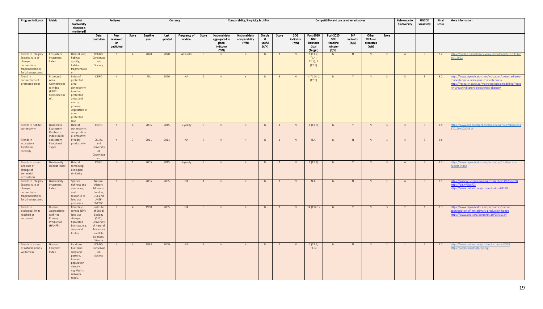| <b>Progress Indicator</b>                                                                                    | Metric                                                                        | What<br>biodiversity<br>element is<br>monitored?                                                                                                       |                                                                                                                         | Pedigree                      |                         |                         | Currency        |                        |                         |                                                                | Comparability, Simplicity & Utility     |                                   |                         |                           |                                                         | Compatibility and use by other initiatives                |                           |                                               |                         | Relevance to<br><b>Biodiversity</b> | <b>UNCCD</b><br>sensitivity | Final<br>score | More information                                                                                                                                                                                            |
|--------------------------------------------------------------------------------------------------------------|-------------------------------------------------------------------------------|--------------------------------------------------------------------------------------------------------------------------------------------------------|-------------------------------------------------------------------------------------------------------------------------|-------------------------------|-------------------------|-------------------------|-----------------|------------------------|-------------------------|----------------------------------------------------------------|-----------------------------------------|-----------------------------------|-------------------------|---------------------------|---------------------------------------------------------|-----------------------------------------------------------|---------------------------|-----------------------------------------------|-------------------------|-------------------------------------|-----------------------------|----------------|-------------------------------------------------------------------------------------------------------------------------------------------------------------------------------------------------------------|
|                                                                                                              |                                                                               |                                                                                                                                                        | Data<br>custodian                                                                                                       | Peer<br>reviewed<br>published | Score                   | <b>Baseline</b><br>year | Last<br>updated | Frequency of<br>update | Score                   | National data<br>aggregated to<br>global<br>indicator<br>(Y/N) | National data<br>comparability<br>(Y/N) | Simple<br>- 82<br>useful<br>(Y/N) | Score                   | SDG<br>indicator<br>(Y/N) | Post-2020<br><b>GBF</b><br>Relevant<br>Goal<br>(Target) | Post-2020<br><b>GBF</b><br>Headline<br>Indicator<br>(Y/N) | BIP<br>indicator<br>(Y/N) | Other<br><b>MEAs or</b><br>processes<br>(Y/N) | Score                   |                                     |                             |                |                                                                                                                                                                                                             |
| Trends in integrity<br>(extent, rate of<br>change,<br>connectivity,<br>fragementation)<br>for all ecosystems | Ecosystem<br>Intactness<br>Index                                              | Habitat loss;<br>habitat<br>quality;<br>habitat<br>fragmentatio                                                                                        | Wildlife<br>Conservat<br>ion<br>Society                                                                                 | Y                             | $\overline{4}$          | 2020                    | 2020            | Annually               | $\overline{\mathbf{3}}$ | N                                                              | N                                       | N                                 | $\mathbf{1}$            | N                         | 1(T1.2;<br>T1.4;<br>$T1.5$ ), 2<br>(T2.5)               | N                                                         | N                         | N                                             | $\overline{2}$          | 4                                   | 5 <sup>5</sup>              | 3.2            | https://conbio.onlinelibrary.wiley.com/doi/pdf/10.1111/c<br>onl.12692                                                                                                                                       |
| Trend in<br>connectivity of<br>protected areas                                                               | Protected<br>Area<br>Connectedne<br>ss Index<br>(PARC-<br>Connectedne<br>ss). | Index of<br>protected<br>area<br>connectivity<br>to other<br>protected<br>areas and<br>nearby<br>primary<br>vegetation in<br>non-<br>protected<br>land | <b>CSIRO</b>                                                                                                            | Y                             | $\overline{4}$          | <b>NA</b>               | 2020            | <b>NA</b>              | $\overline{2}$          | N                                                              | Y                                       | N                                 | $\overline{\mathbf{3}}$ | N                         | 1(T1.5), 2<br>(T2.5)                                    | N                                                         | Y                         | N                                             | $\overline{\mathbf{3}}$ | $\overline{\mathbf{3}}$             | $\overline{3}$              | 3.0            | https://www.bipindicators.net/indicators/protected-area-<br>connectedness-index-parc-connectedness<br>https://research.csiro.au/macroecologicalmodelling/resea<br>rch-areas/indicators-biodiversity-change/ |
| Trends in habitat<br>connectivity                                                                            | Bioclimatic<br>Ecosystem<br>Resilience<br>Index (BERI)                        | Habitat<br>connectivity;<br>composition<br>al similarity;                                                                                              | <b>CSIRO</b>                                                                                                            | Y                             | $\overline{4}$          | 2005                    | 2015            | 5-yearly               | $\overline{\mathbf{3}}$ | N                                                              | N                                       | N                                 | $\overline{1}$          | N                         | 1(T1.5)                                                 | N                                                         | Y                         | N                                             | $\overline{\mathbf{3}}$ | 3 <sup>2</sup>                      | $\overline{\mathbf{3}}$     | 2.8            | https://www.sciencedirect.com/science/article/abs/pii/S1<br>470160X2030491X                                                                                                                                 |
| Trends in<br>ecosystem<br>functional<br>diversity                                                            | Ecosystem<br>Functional<br>Types                                              | Primary<br>productivity                                                                                                                                | EC JRC<br>and<br>University<br>of<br>Copenhag<br>en                                                                     | Y                             | $\overline{3}$          | 2011                    | 2011            | <b>NA</b>              | $\overline{\mathbf{3}}$ | N                                                              | N                                       | N                                 | 1                       | N                         | N.A.                                                    | N                                                         | N                         | N                                             | <sup>1</sup>            | 4                                   | 5                           | 2.8            |                                                                                                                                                                                                             |
| Trends in extent<br>and rate of<br>change of<br>terrestrial<br>ecosystems                                    | Biodiversity<br>Habitat Index                                                 | Habitat<br>remaining;<br>ecological<br>similarity                                                                                                      | <b>CSIRO</b>                                                                                                            | N                             | $\mathbf{1}$            | 2005                    | 2015            | 5-yearly               | $\overline{3}$          | N                                                              | N                                       | N                                 | 1                       | N                         | 1(T1.2)                                                 | N                                                         | Y                         | N                                             | $\overline{\mathbf{3}}$ | 4                                   | 3 <sup>2</sup>              | 2.5            | https://www.bipindicators.net/indicators/biodiversity-<br>habitat-index                                                                                                                                     |
| Trends in integrity<br>(extent, rate of<br>change,<br>connectivity,<br>fragementation)<br>for all ecosystems | Biodiversity<br>Intactness<br>Index                                           | Species<br>richness and<br>abunance,<br>and<br>response to<br>land use<br>pressures                                                                    | Natural<br>History<br>Museum<br>London.<br>UCL and<br>UNEP-<br><b>WCMC</b>                                              | Y                             | $\overline{\mathbf{3}}$ | 2005                    | 2005            | <b>NA</b>              | $\mathbf{1}$            | N                                                              | N                                       | N                                 | $\overline{1}$          | N                         | N.A.                                                    | N                                                         | N                         | N                                             | $\overline{1}$          | 4                                   | 5 <sup>5</sup>              | 2.5            | https://science.sciencemag.org/content/353/6296/288<br>https://bit.ly/3iut7Zt<br>https://www.nature.com/articles/nature03289                                                                                |
| Trends in<br>ecological limits<br>reached or<br>surpassed                                                    | Human<br>Appropriatio<br>n of Net<br>Primary<br>Production<br>(HANPP)         | Remotely<br>sensed NPP;<br>land use<br>change;<br>harvested<br>biomass, e.g.<br>crops and<br>timber                                                    | Institute<br>of Social<br>Ecology<br>(SEC),<br>University<br>of Natural<br>Resources<br>and Life<br>Sciences,<br>Vienna |                               | $\overline{4}$          | 1960                    | 2005            | <b>NA</b>              | $\overline{3}$          | N                                                              | N                                       | N                                 | -1                      | N                         | 14 (T14.1)                                              | N                                                         | Y                         | N                                             | $\overline{\mathbf{3}}$ | $\overline{2}$                      | $\mathbf{1}$                | 2.3            | https://www.bipindicators.net/indicators/human-<br>appropriation-of-net-primary-production-hanpp<br>https://www.pnas.org/content/110/25/10324                                                               |
| Trends in extent<br>of natural intact /<br>wilderness                                                        | Human<br>Footprint<br>Index                                                   | Land use:<br>built land,<br>cropland,<br>pasture,<br>human<br>population<br>density,<br>nightlights,<br>railways,<br>roads,                            | Wildlife<br>Conservat<br>ion<br>Society                                                                                 | Y                             | $\overline{4}$          | 1993                    | 2009            | <b>NA</b>              | $\overline{\mathbf{3}}$ | N                                                              | N                                       | N                                 | $\overline{1}$          | N                         | 1(T1.2;<br>T1.3)                                        | N                                                         | N                         | N                                             | $\overline{2}$          | $\mathbf{1}$                        | $\mathbf{1}$                | 2.0            | https://www.nature.com/articles/ncomms12558<br>https://wcshumanfootprint.org                                                                                                                                |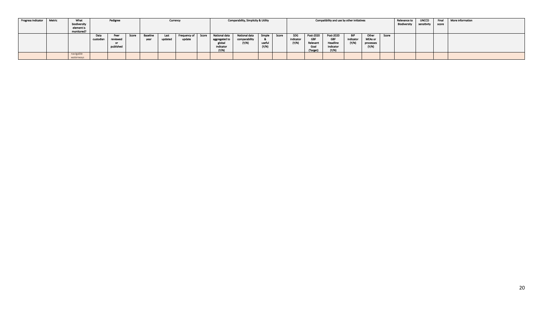| Progress Indicator | Metric | What<br>biodiversity<br>element is<br>monitored? |                   | Comparability, Simplicity & Utility<br>Compatibility and use by other initiatives<br>Pedigree<br>Currency |       |                  |                 |                        |       |                                                                |                                         |                 | Relevance to<br><b>Biodiversity</b> | <b>UNCCD</b><br>sensitivity | Final<br>score                                          | More information                                          |                                  |                                               |       |  |  |  |  |
|--------------------|--------|--------------------------------------------------|-------------------|-----------------------------------------------------------------------------------------------------------|-------|------------------|-----------------|------------------------|-------|----------------------------------------------------------------|-----------------------------------------|-----------------|-------------------------------------|-----------------------------|---------------------------------------------------------|-----------------------------------------------------------|----------------------------------|-----------------------------------------------|-------|--|--|--|--|
|                    |        |                                                  | Data<br>custodian | Peer<br>reviewed<br>published                                                                             | Score | Baseline<br>year | Last<br>updated | Frequency of<br>update | Score | National data<br>aggregated to<br>global<br>indicator<br>(Y/N) | National data<br>comparability<br>(Y/N) | Simple<br>usefu | Score                               | SDG<br>indicator<br>(Y/N)   | Post-2020<br><b>GBF</b><br>Relevant<br>Goal<br>(Target) | Post-2020<br><b>GBF</b><br>Headline<br>Indicator<br>(Y/N) | <b>BIP</b><br>indicator<br>(Y/N) | Other<br><b>MEAs or</b><br>processes<br>(N/N) | Score |  |  |  |  |
|                    |        | navigable<br>waterways                           |                   |                                                                                                           |       |                  |                 |                        |       |                                                                |                                         |                 |                                     |                             |                                                         |                                                           |                                  |                                               |       |  |  |  |  |